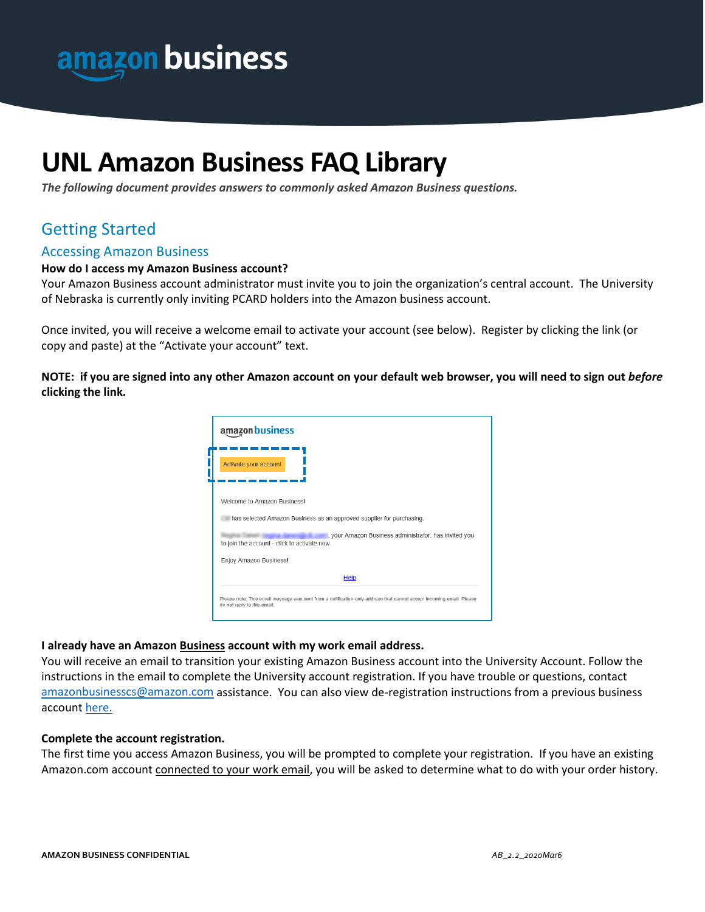

# **UNL Amazon Business FAQ Library**

*The following document provides answers to commonly asked Amazon Business questions.* 

## Getting Started

#### Accessing Amazon Business

#### **How do I access my Amazon Business account?**

Your Amazon Business account administrator must invite you to join the organization's central account. The University of Nebraska is currently only inviting PCARD holders into the Amazon business account.

Once invited, you will receive a welcome email to activate your account (see below). Register by clicking the link (or copy and paste) at the "Activate your account" text.

**NOTE: if you are signed into any other Amazon account on your default web browser, you will need to sign out** *before* **clicking the link.**



#### **I already have an Amazon Business account with my work email address.**

You will receive an email to transition your existing Amazon Business account into the University Account. Follow the instructions in the email to complete the University account registration. If you have trouble or questions, contact [amazonbusinesscs@amazon.com](mailto:amazonbusinesscs@amazon.com) assistance. You can also view de-registration instructions from a previous business account [here.](https://www.amazon.com/gp/help/customer/display.html/ref=help_search_1-1?ie=UTF8&nodeId=GQRRBDPEPPEAB9SA&qid=1589224273&sr=1-1)

#### **Complete the account registration.**

The first time you access Amazon Business, you will be prompted to complete your registration. If you have an existing Amazon.com account connected to your work email, you will be asked to determine what to do with your order history.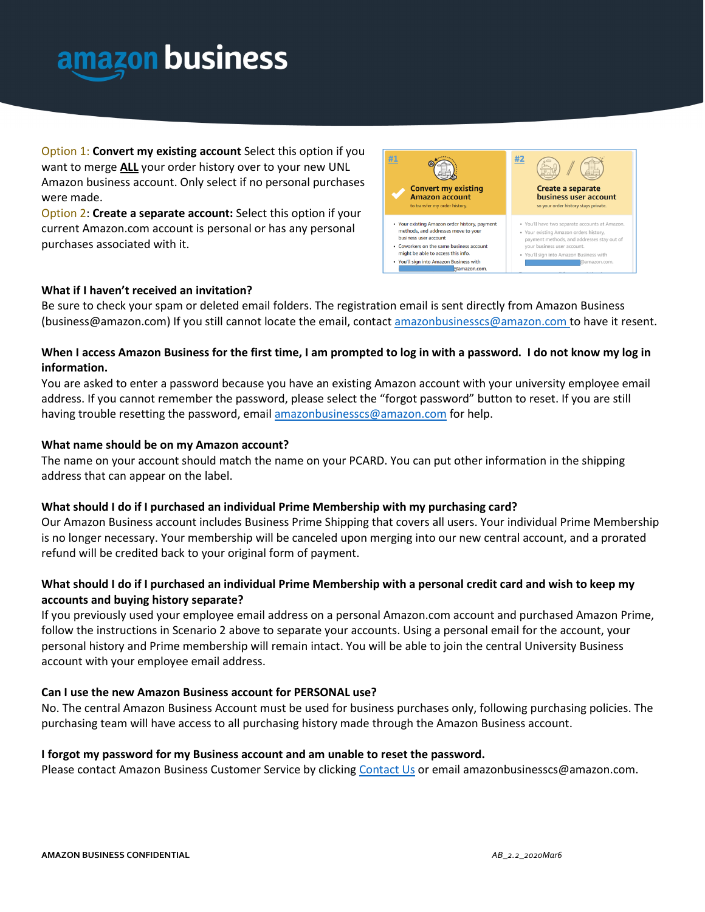

Option 1: **Convert my existing account** Select this option if you want to merge **ALL** your order history over to your new UNL Amazon business account. Only select if no personal purchases were made.

Option 2: **Create a separate account:** Select this option if your current Amazon.com account is personal or has any personal purchases associated with it.



#### **What if I haven't received an invitation?**

Be sure to check your spam or deleted email folders. The registration email is sent directly from Amazon Business (business@amazon.com) If you still cannot locate the email, contact [amazonbusinesscs@amazon.com](mailto:amazonbusiness@amazon.com) to have it resent.

#### **When I access Amazon Business for the first time, I am prompted to log in with a password. I do not know my log in information.**

You are asked to enter a password because you have an existing Amazon account with your university employee email address. If you cannot remember the password, please select the "forgot password" button to reset. If you are still having trouble resetting the password, emai[l amazonbusinesscs@amazon.com](mailto:amazonbusiness@amazon.com) for help.

#### **What name should be on my Amazon account?**

The name on your account should match the name on your PCARD. You can put other information in the shipping address that can appear on the label.

#### **What should I do if I purchased an individual Prime Membership with my purchasing card?**

Our Amazon Business account includes Business Prime Shipping that covers all users. Your individual Prime Membership is no longer necessary. Your membership will be canceled upon merging into our new central account, and a prorated refund will be credited back to your original form of payment.

#### **What should I do if I purchased an individual Prime Membership with a personal credit card and wish to keep my accounts and buying history separate?**

If you previously used your employee email address on a personal Amazon.com account and purchased Amazon Prime, follow the instructions in Scenario 2 above to separate your accounts. Using a personal email for the account, your personal history and Prime membership will remain intact. You will be able to join the central University Business account with your employee email address.

#### **Can I use the new Amazon Business account for PERSONAL use?**

No. The central Amazon Business Account must be used for business purchases only, following purchasing policies. The purchasing team will have access to all purchasing history made through the Amazon Business account.

#### **I forgot my password for my Business account and am unable to reset the password.**

Please contact Amazon Business Customer Service by clicking [Contact Us](https://www.amazon.com/gp/help/customer/contact-us?ie=UTF8&ref=bfooter_cu) or email amazonbusinesscs@amazon.com.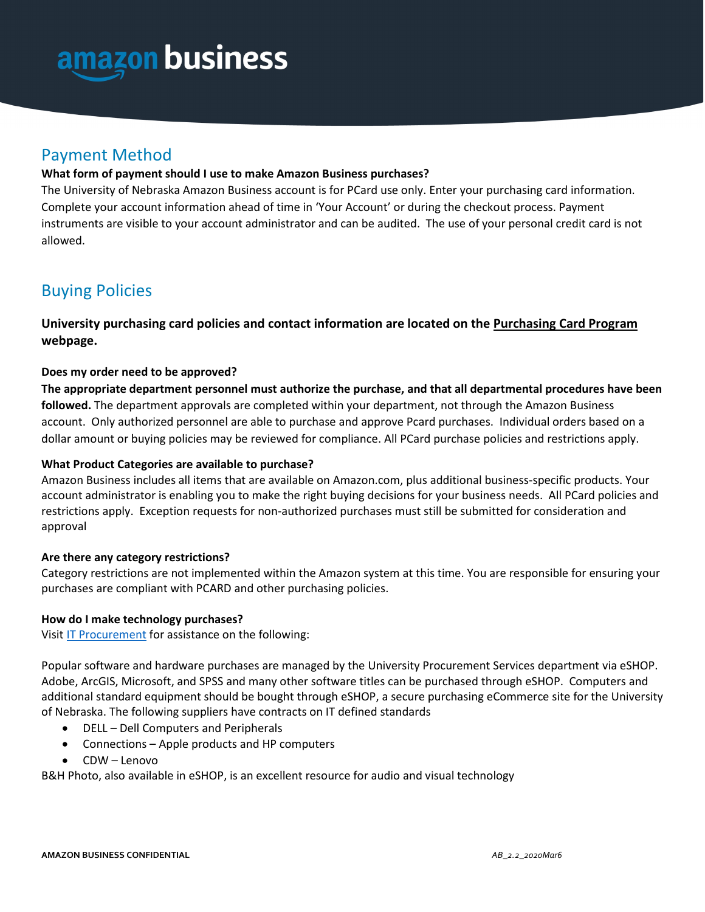

## Payment Method

#### **What form of payment should I use to make Amazon Business purchases?**

The University of Nebraska Amazon Business account is for PCard use only. Enter your purchasing card information. Complete your account information ahead of time in 'Your Account' or during the checkout process. Payment instruments are visible to your account administrator and can be audited. The use of your personal credit card is not allowed.

## Buying Policies

**University purchasing card policies and contact information are located on the [Purchasing Card Program](https://accounting.unl.edu/accounts-payable/purchasing-card-other-card-programs) webpage.**

#### **Does my order need to be approved?**

**The appropriate department personnel must authorize the purchase, and that all departmental procedures have been followed.** The department approvals are completed within your department, not through the Amazon Business account. Only authorized personnel are able to purchase and approve Pcard purchases. Individual orders based on a dollar amount or buying policies may be reviewed for compliance. All PCard purchase policies and restrictions apply.

#### **What Product Categories are available to purchase?**

Amazon Business includes all items that are available on Amazon.com, plus additional business-specific products. Your account administrator is enabling you to make the right buying decisions for your business needs. All PCard policies and restrictions apply. Exception requests for non-authorized purchases must still be submitted for consideration and approval

#### **Are there any category restrictions?**

Category restrictions are not implemented within the Amazon system at this time. You are responsible for ensuring your purchases are compliant with PCARD and other purchasing policies.

#### **How do I make technology purchases?**

Visit [IT Procurement](https://itprocurement.unl.edu/welcome) for assistance on the following:

Popular software and hardware purchases are managed by the University Procurement Services department via eSHOP. Adobe, ArcGIS, Microsoft, and SPSS and many other software titles can be purchased through eSHOP. Computers and additional standard equipment should be bought through eSHOP, a secure purchasing eCommerce site for the University of Nebraska. The following suppliers have contracts on IT defined standards

- DELL Dell Computers and Peripherals
- Connections Apple products and HP computers
- CDW Lenovo

B&H Photo, also available in eSHOP, is an excellent resource for audio and visual technology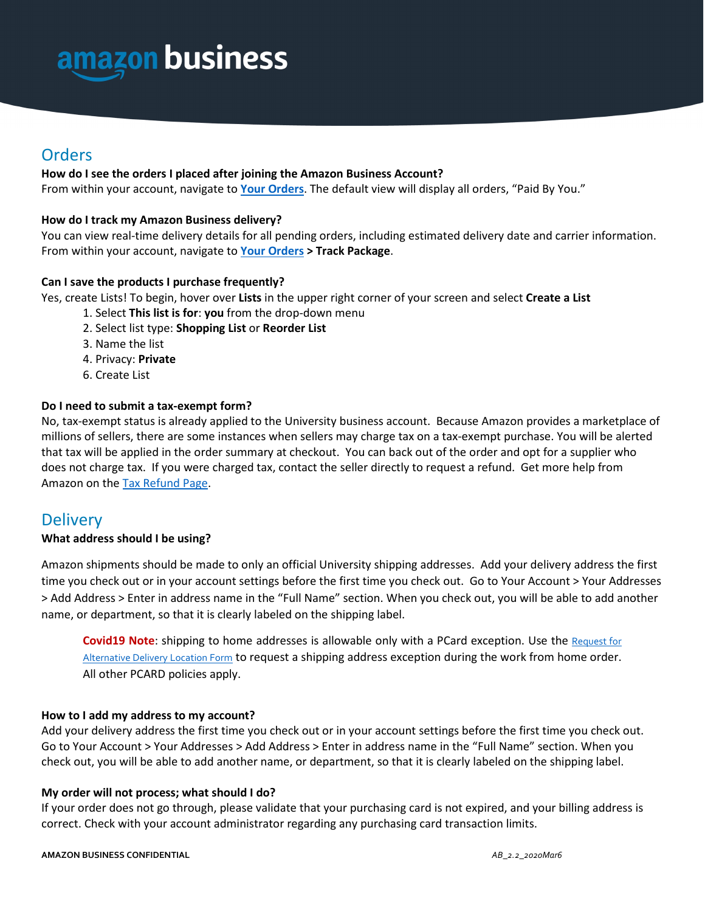

## **Orders**

#### **How do I see the orders I placed after joining the Amazon Business Account?**

From within your account, navigate to **[Your Orders](https://www.amazon.com/gp/css/order-history?ie=UTF8&ref_=nav_youraccount_bnav_ya_ad_orders)**. The default view will display all orders, "Paid By You."

#### **How do I track my Amazon Business delivery?**

You can view real-time delivery details for all pending orders, including estimated delivery date and carrier information. From within your account, navigate to **[Your Orders](https://www.amazon.com/gp/css/order-history?ie=UTF8&ref_=nav_youraccount_bnav_ya_ad_orders) > Track Package**.

#### **Can I save the products I purchase frequently?**

Yes, create Lists! To begin, hover over **Lists** in the upper right corner of your screen and select **Create a List**

- 1. Select **This list is for**: **you** from the drop-down menu
- 2. Select list type: **Shopping List** or **Reorder List**
- 3. Name the list
- 4. Privacy: **Private**
- 6. Create List

#### **Do I need to submit a tax-exempt form?**

No, tax-exempt status is already applied to the University business account. Because Amazon provides a marketplace of millions of sellers, there are some instances when sellers may charge tax on a tax-exempt purchase. You will be alerted that tax will be applied in the order summary at checkout. You can back out of the order and opt for a supplier who does not charge tax. If you were charged tax, contact the seller directly to request a refund. Get more help from Amazon on the [Tax Refund Page.](https://www.amazon.com/gp/help/customer/display.html/ref=help_search_1-5?ie=UTF8&nodeId=202036770&qid=1544906043&sr=1-5)

## **Delivery**

#### **What address should I be using?**

Amazon shipments should be made to only an official University shipping addresses. Add your delivery address the first time you check out or in your account settings before the first time you check out. Go to Your Account > Your Addresses > Add Address > Enter in address name in the "Full Name" section. When you check out, you will be able to add another name, or department, so that it is clearly labeled on the shipping label.

**Covid19 Note:** shipping to home addresses is allowable only with a PCard exception. Use the Request for [Alternative Delivery Location Form](https://procurement.unl.edu/request-alternative-delivery-location-form) to request a shipping address exception during the work from home order. All other PCARD policies apply.

#### **How to I add my address to my account?**

Add your delivery address the first time you check out or in your account settings before the first time you check out. Go to Your Account > Your Addresses > Add Address > Enter in address name in the "Full Name" section. When you check out, you will be able to add another name, or department, so that it is clearly labeled on the shipping label.

#### **My order will not process; what should I do?**

If your order does not go through, please validate that your purchasing card is not expired, and your billing address is correct. Check with your account administrator regarding any purchasing card transaction limits.